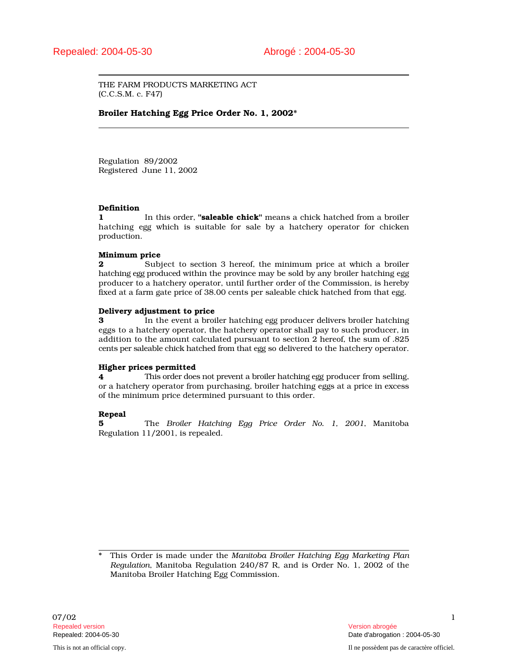THE FARM PRODUCTS MARKETING ACT (C.C.S.M. c. F47)

# Broiler Hatching Egg Price Order No. 1, 2002\*

Regulation 89/2002 Registered June 11, 2002

# Definition

1 In this order, "**saleable chick**" means a chick hatched from a broiler hatching egg which is suitable for sale by a hatchery operator for chicken production.

### Minimum price

2 Subject to section 3 hereof, the minimum price at which a broiler hatching egg produced within the province may be sold by any broiler hatching egg producer to a hatchery operator, until further order of the Commission, is hereby fixed at a farm gate price of 38.00 cents per saleable chick hatched from that egg.

### Delivery adjustment to price

3 In the event a broiler hatching egg producer delivers broiler hatching eggs to a hatchery operator, the hatchery operator shall pay to such producer, in addition to the amount calculated pursuant to section 2 hereof, the sum of .825 cents per saleable chick hatched from that egg so delivered to the hatchery operator.

# Higher prices permitted

4 This order does not prevent a broiler hatching egg producer from selling, or a hatchery operator from purchasing, broiler hatching eggs at a price in excess of the minimum price determined pursuant to this order.

# Repeal

5 The *Broiler Hatching Egg Price Order No. 1, 2001*, Manitoba Regulation 11/2001, is repealed.

\* This Order is made under the *Manitoba Broiler Hatching Egg Marketing Plan Regulation*, Manitoba Regulation 240/87 R, and is Order No. 1, 2002 of the Manitoba Broiler Hatching Egg Commission.